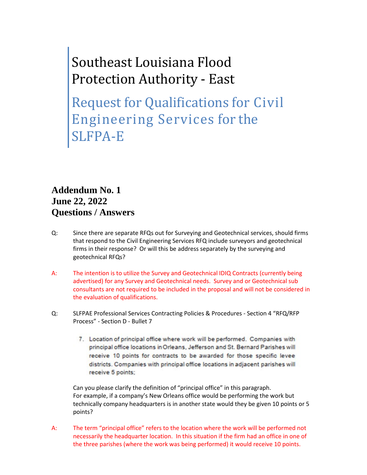## Southeast Louisiana Flood Protection Authority - East

Request for Qualifications for Civil Engineering Services for the SLFPA-E

## **Addendum No. 1 June 22, 2022 Questions / Answers**

- Q: Since there are separate RFQs out for Surveying and Geotechnical services, should firms that respond to the Civil Engineering Services RFQ include surveyors and geotechnical firms in their response? Or will this be address separately by the surveying and geotechnical RFQs?
- A: The intention is to utilize the Survey and Geotechnical IDIQ Contracts (currently being advertised) for any Survey and Geotechnical needs. Survey and or Geotechnical sub consultants are not required to be included in the proposal and will not be considered in the evaluation of qualifications.
- Q: SLFPAE Professional Services Contracting Policies & Procedures Section 4 "RFQ/RFP Process" - Section D - Bullet 7
	- 7. Location of principal office where work will be performed. Companies with principal office locations in Orleans, Jefferson and St. Bernard Parishes will receive 10 points for contracts to be awarded for those specific levee districts. Companies with principal office locations in adjacent parishes will receive 5 points;

Can you please clarify the definition of "principal office" in this paragraph. For example, if a company's New Orleans office would be performing the work but technically company headquarters is in another state would they be given 10 points or 5 points?

A: The term "principal office" refers to the location where the work will be performed not necessarily the headquarter location. In this situation if the firm had an office in one of the three parishes (where the work was being performed) it would receive 10 points.